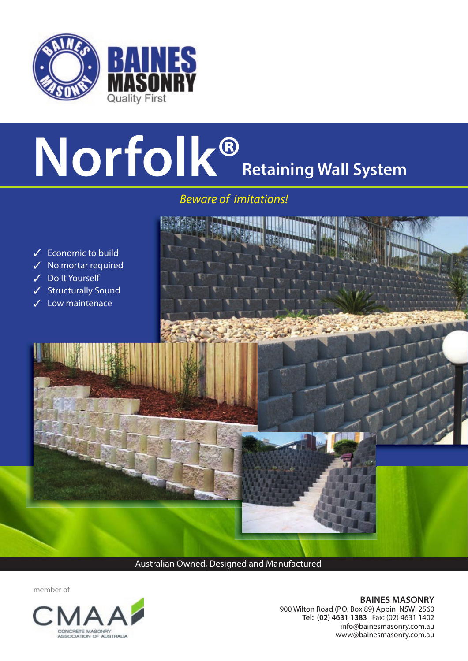

## **Norfolk® Retaining Wall System**

*Beware of imitations!* 



Australian Owned, Designed and Manufactured

member of



**BAINES MASONRY**  900 Wilton Road (P.O. Box 89) Appin NSW 2560 **Tel: (02) 4631 1383** Fax: (02) 4631 1402 info@bainesmasonry.com.au www@bainesmasonry.com.au